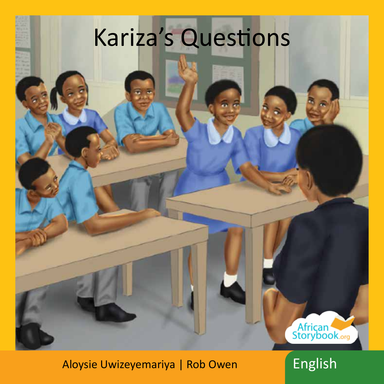# Kariza's Questions

Aloysie Uwizeyemariya | Rob Owen **English** 

African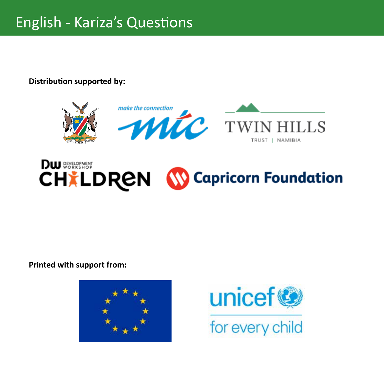### English - Kariza's Questions

#### **Distribution supported by:**







#### **DW DEVELOPMENT CHILDREN W Capricorn Foundation**

**Printed with support from:**



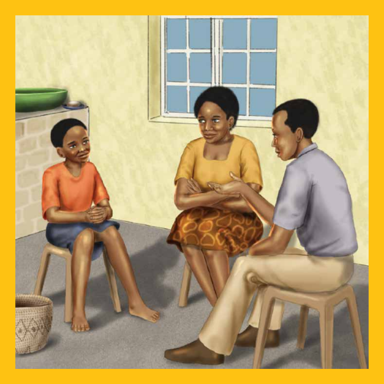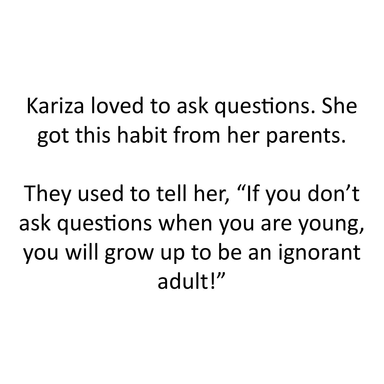Kariza loved to ask questions. She got this habit from her parents.

They used to tell her, "If you don't ask questions when you are young, you will grow up to be an ignorant adult!"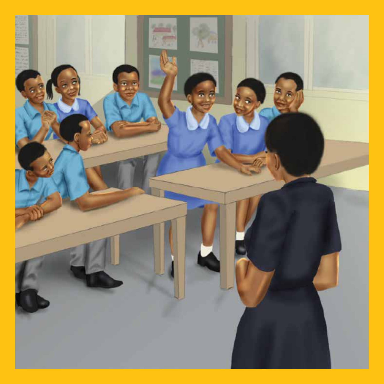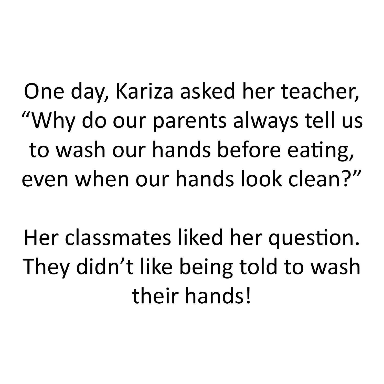One day, Kariza asked her teacher, "Why do our parents always tell us to wash our hands before eating, even when our hands look clean?"

Her classmates liked her question. They didn't like being told to wash their hands!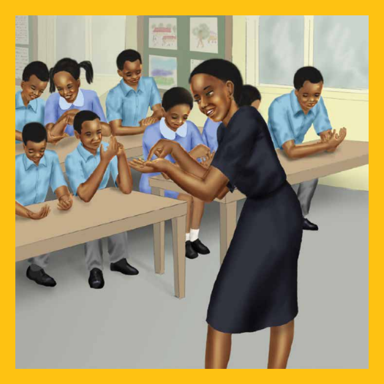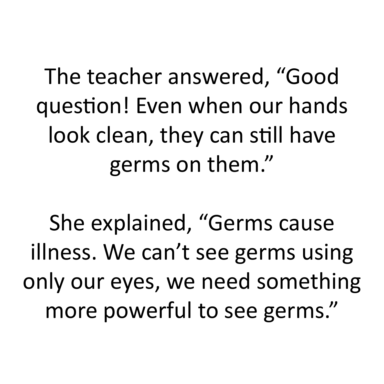The teacher answered, "Good question! Even when our hands look clean, they can still have germs on them."

She explained, "Germs cause illness. We can't see germs using only our eyes, we need something more powerful to see germs."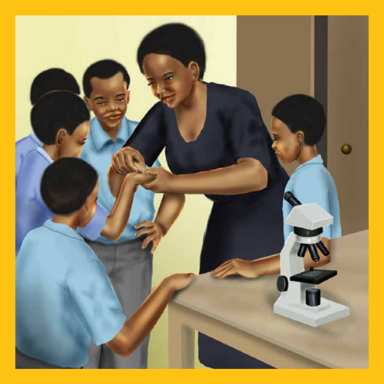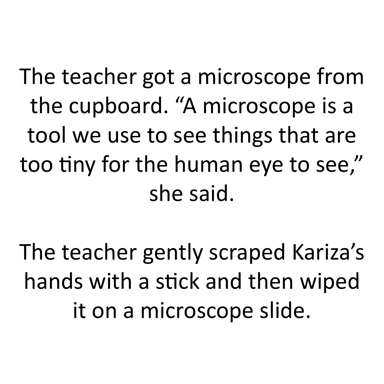The teacher got a microscope from the cupboard. "A microscope is a tool we use to see things that are too tiny for the human eye to see," she said.

The teacher gently scraped Kariza's hands with a stick and then wiped it on a microscope slide.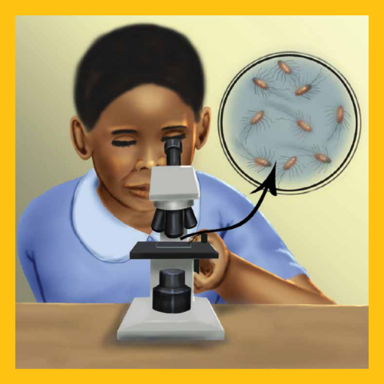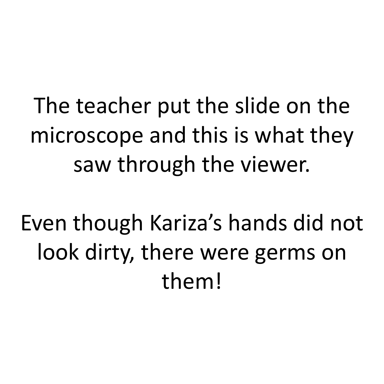The teacher put the slide on the microscope and this is what they saw through the viewer.

Even though Kariza's hands did not look dirty, there were germs on them!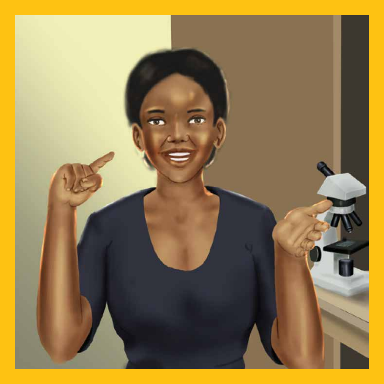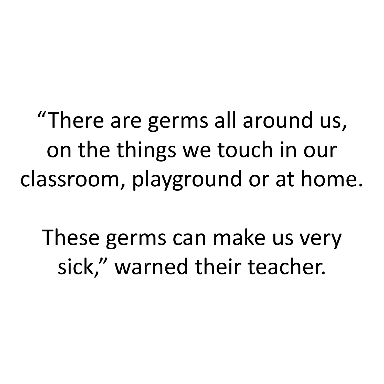"There are germs all around us, on the things we touch in our classroom, playground or at home.

These germs can make us very sick," warned their teacher.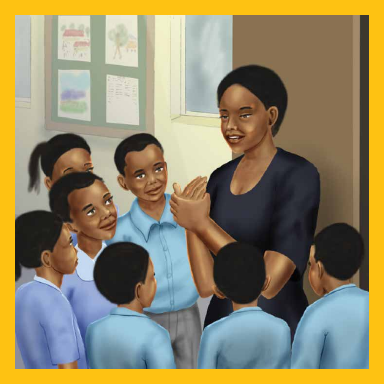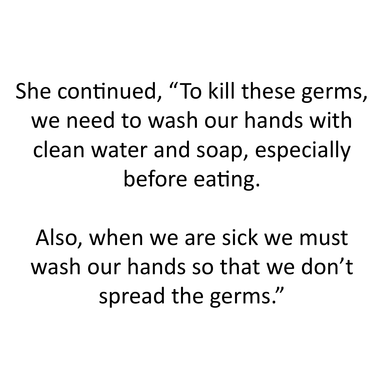She continued, "To kill these germs, we need to wash our hands with clean water and soap, especially before eating.

Also, when we are sick we must wash our hands so that we don't spread the germs."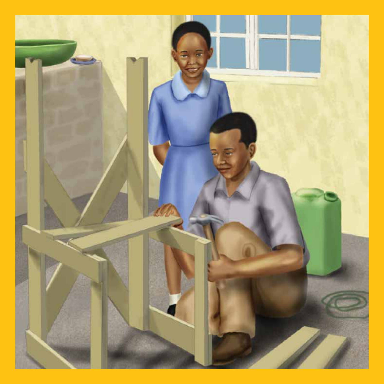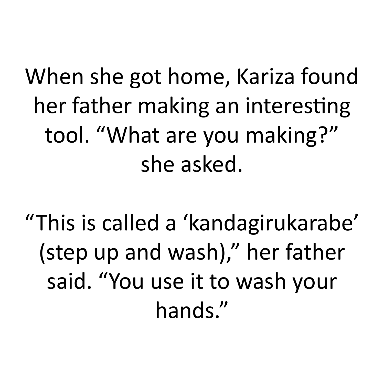## When she got home, Kariza found her father making an interesting tool. "What are you making?" she asked.

"This is called a 'kandagirukarabe' (step up and wash)," her father said. "You use it to wash your hands."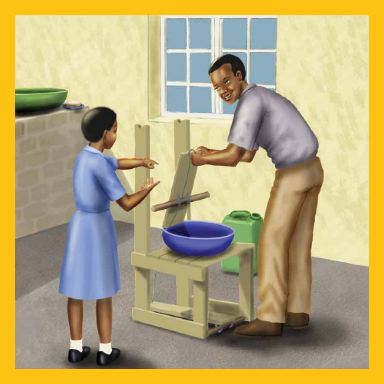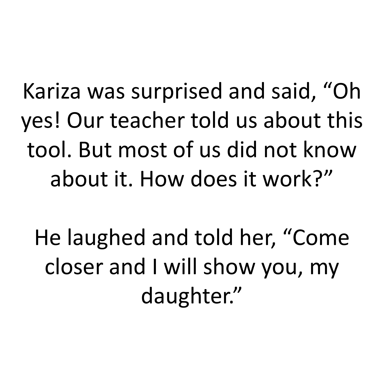Kariza was surprised and said, "Oh yes! Our teacher told us about this tool. But most of us did not know about it. How does it work?"

He laughed and told her, "Come closer and I will show you, my daughter."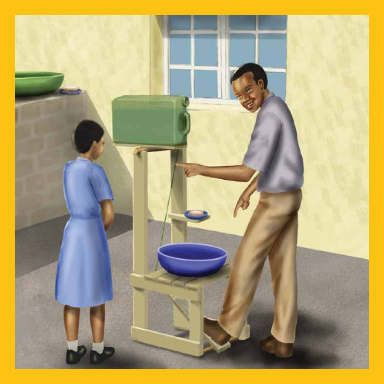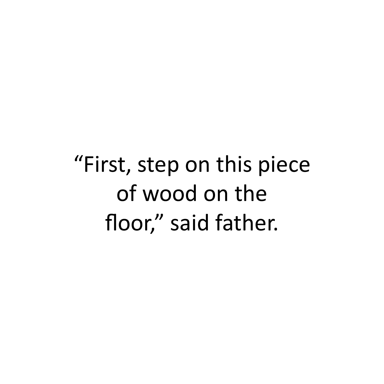"First, step on this piece of wood on the floor," said father.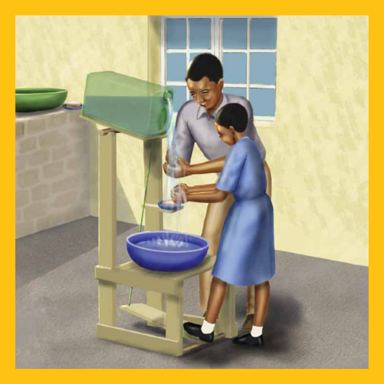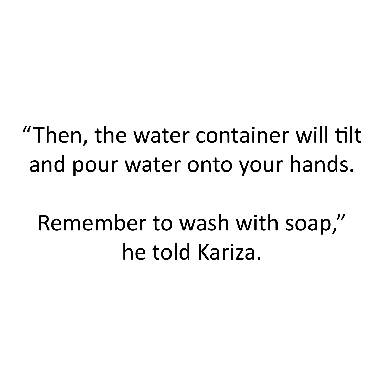"Then, the water container will tilt and pour water onto your hands.

Remember to wash with soap," he told Kariza.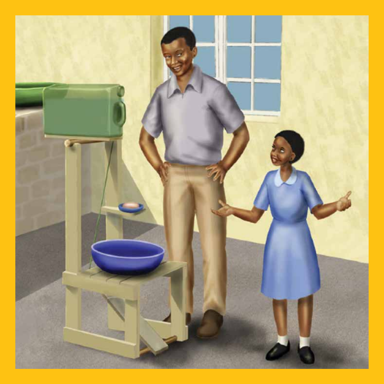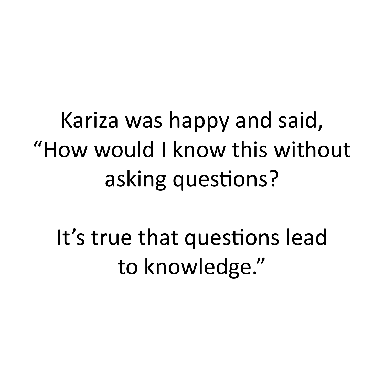Kariza was happy and said, "How would I know this without asking questions?

It's true that questions lead to knowledge."